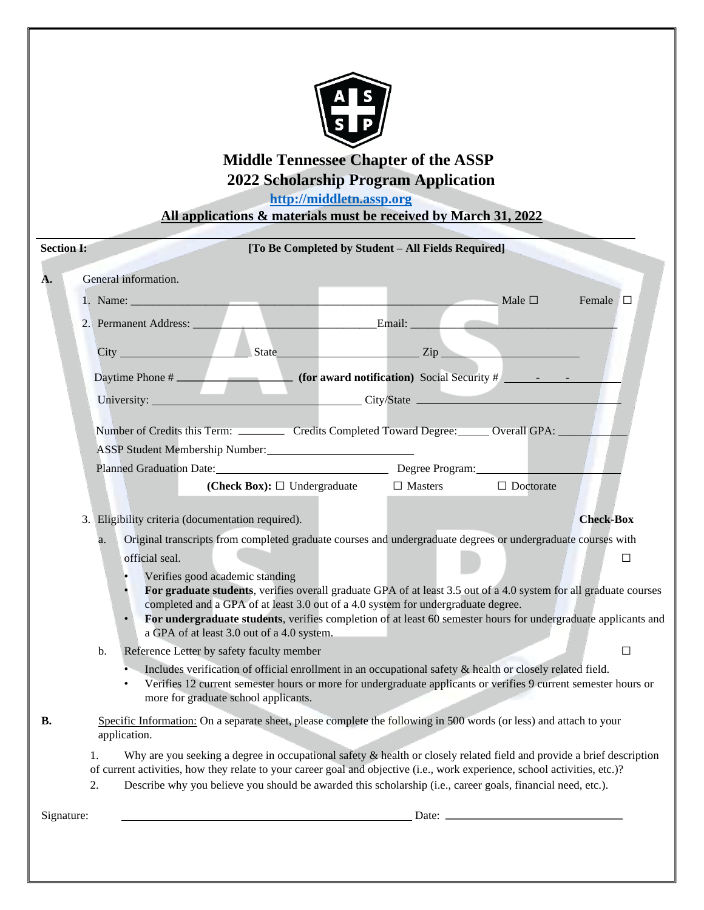

# **Middle Tennessee Chapter of the ASSP 2022 Scholarship Program Application**

 **[http://middletn.assp.org](http://middletn.assp.org/)**

**All applications & materials must be received by March 31, 2022**

| <b>Section I:</b>            |                |                                                                                                                                                                                                                         |                                                                                                                                                                                                                                                                                                                                                                                                                                                                                                                                                                                                                                                                                                                                                                                                                                                                                                                                                                                                                                                                                                                                                                                                                                                                                                                                                                                                                                                                                                                                                                                                                                                                                                                                                                                                                                                                                          |
|------------------------------|----------------|-------------------------------------------------------------------------------------------------------------------------------------------------------------------------------------------------------------------------|------------------------------------------------------------------------------------------------------------------------------------------------------------------------------------------------------------------------------------------------------------------------------------------------------------------------------------------------------------------------------------------------------------------------------------------------------------------------------------------------------------------------------------------------------------------------------------------------------------------------------------------------------------------------------------------------------------------------------------------------------------------------------------------------------------------------------------------------------------------------------------------------------------------------------------------------------------------------------------------------------------------------------------------------------------------------------------------------------------------------------------------------------------------------------------------------------------------------------------------------------------------------------------------------------------------------------------------------------------------------------------------------------------------------------------------------------------------------------------------------------------------------------------------------------------------------------------------------------------------------------------------------------------------------------------------------------------------------------------------------------------------------------------------------------------------------------------------------------------------------------------------|
| General information.         |                |                                                                                                                                                                                                                         |                                                                                                                                                                                                                                                                                                                                                                                                                                                                                                                                                                                                                                                                                                                                                                                                                                                                                                                                                                                                                                                                                                                                                                                                                                                                                                                                                                                                                                                                                                                                                                                                                                                                                                                                                                                                                                                                                          |
|                              |                |                                                                                                                                                                                                                         | $Male \Box$<br>Female $\square$                                                                                                                                                                                                                                                                                                                                                                                                                                                                                                                                                                                                                                                                                                                                                                                                                                                                                                                                                                                                                                                                                                                                                                                                                                                                                                                                                                                                                                                                                                                                                                                                                                                                                                                                                                                                                                                          |
| 2. Permanent Address: ______ |                |                                                                                                                                                                                                                         |                                                                                                                                                                                                                                                                                                                                                                                                                                                                                                                                                                                                                                                                                                                                                                                                                                                                                                                                                                                                                                                                                                                                                                                                                                                                                                                                                                                                                                                                                                                                                                                                                                                                                                                                                                                                                                                                                          |
|                              |                |                                                                                                                                                                                                                         |                                                                                                                                                                                                                                                                                                                                                                                                                                                                                                                                                                                                                                                                                                                                                                                                                                                                                                                                                                                                                                                                                                                                                                                                                                                                                                                                                                                                                                                                                                                                                                                                                                                                                                                                                                                                                                                                                          |
|                              |                |                                                                                                                                                                                                                         |                                                                                                                                                                                                                                                                                                                                                                                                                                                                                                                                                                                                                                                                                                                                                                                                                                                                                                                                                                                                                                                                                                                                                                                                                                                                                                                                                                                                                                                                                                                                                                                                                                                                                                                                                                                                                                                                                          |
|                              |                |                                                                                                                                                                                                                         |                                                                                                                                                                                                                                                                                                                                                                                                                                                                                                                                                                                                                                                                                                                                                                                                                                                                                                                                                                                                                                                                                                                                                                                                                                                                                                                                                                                                                                                                                                                                                                                                                                                                                                                                                                                                                                                                                          |
|                              |                |                                                                                                                                                                                                                         |                                                                                                                                                                                                                                                                                                                                                                                                                                                                                                                                                                                                                                                                                                                                                                                                                                                                                                                                                                                                                                                                                                                                                                                                                                                                                                                                                                                                                                                                                                                                                                                                                                                                                                                                                                                                                                                                                          |
|                              |                |                                                                                                                                                                                                                         |                                                                                                                                                                                                                                                                                                                                                                                                                                                                                                                                                                                                                                                                                                                                                                                                                                                                                                                                                                                                                                                                                                                                                                                                                                                                                                                                                                                                                                                                                                                                                                                                                                                                                                                                                                                                                                                                                          |
|                              |                | $\Box$ Masters<br>$\Box$ Doctorate                                                                                                                                                                                      |                                                                                                                                                                                                                                                                                                                                                                                                                                                                                                                                                                                                                                                                                                                                                                                                                                                                                                                                                                                                                                                                                                                                                                                                                                                                                                                                                                                                                                                                                                                                                                                                                                                                                                                                                                                                                                                                                          |
|                              |                |                                                                                                                                                                                                                         | <b>Check-Box</b>                                                                                                                                                                                                                                                                                                                                                                                                                                                                                                                                                                                                                                                                                                                                                                                                                                                                                                                                                                                                                                                                                                                                                                                                                                                                                                                                                                                                                                                                                                                                                                                                                                                                                                                                                                                                                                                                         |
| a.                           |                |                                                                                                                                                                                                                         |                                                                                                                                                                                                                                                                                                                                                                                                                                                                                                                                                                                                                                                                                                                                                                                                                                                                                                                                                                                                                                                                                                                                                                                                                                                                                                                                                                                                                                                                                                                                                                                                                                                                                                                                                                                                                                                                                          |
|                              |                |                                                                                                                                                                                                                         | $\Box$                                                                                                                                                                                                                                                                                                                                                                                                                                                                                                                                                                                                                                                                                                                                                                                                                                                                                                                                                                                                                                                                                                                                                                                                                                                                                                                                                                                                                                                                                                                                                                                                                                                                                                                                                                                                                                                                                   |
| b.                           |                |                                                                                                                                                                                                                         | $\Box$                                                                                                                                                                                                                                                                                                                                                                                                                                                                                                                                                                                                                                                                                                                                                                                                                                                                                                                                                                                                                                                                                                                                                                                                                                                                                                                                                                                                                                                                                                                                                                                                                                                                                                                                                                                                                                                                                   |
|                              |                |                                                                                                                                                                                                                         |                                                                                                                                                                                                                                                                                                                                                                                                                                                                                                                                                                                                                                                                                                                                                                                                                                                                                                                                                                                                                                                                                                                                                                                                                                                                                                                                                                                                                                                                                                                                                                                                                                                                                                                                                                                                                                                                                          |
| application.                 |                |                                                                                                                                                                                                                         |                                                                                                                                                                                                                                                                                                                                                                                                                                                                                                                                                                                                                                                                                                                                                                                                                                                                                                                                                                                                                                                                                                                                                                                                                                                                                                                                                                                                                                                                                                                                                                                                                                                                                                                                                                                                                                                                                          |
| 1.<br>2.                     |                |                                                                                                                                                                                                                         |                                                                                                                                                                                                                                                                                                                                                                                                                                                                                                                                                                                                                                                                                                                                                                                                                                                                                                                                                                                                                                                                                                                                                                                                                                                                                                                                                                                                                                                                                                                                                                                                                                                                                                                                                                                                                                                                                          |
| Signature:                   |                |                                                                                                                                                                                                                         |                                                                                                                                                                                                                                                                                                                                                                                                                                                                                                                                                                                                                                                                                                                                                                                                                                                                                                                                                                                                                                                                                                                                                                                                                                                                                                                                                                                                                                                                                                                                                                                                                                                                                                                                                                                                                                                                                          |
|                              | official seal. | 3. Eligibility criteria (documentation required).<br>Verifies good academic standing<br>a GPA of at least 3.0 out of a 4.0 system.<br>Reference Letter by safety faculty member<br>more for graduate school applicants. | [To Be Completed by Student - All Fields Required]<br><u>Email: Email: Email: Email: Email: Email: Email: Email: Email: Email: Email: Email: Email: Email: Email: Email: Email: Email: Email: Email: Email: Email: Email: Email: Email: Email: Email: Email: Email: Email: Email: Emai</u><br>Daytime Phone # ________________________ (for award notification) Social Security # _______________<br>University: City/State City/State<br>Number of Credits this Term: Credits Completed Toward Degree: Overall GPA:<br>ASSP Student Membership Number:<br><u>Letter and the students</u><br>Planned Graduation Date: Degree Program: Degree Program:<br>(Check Box): $\Box$ Undergraduate<br>Original transcripts from completed graduate courses and undergraduate degrees or undergraduate courses with<br>For graduate students, verifies overall graduate GPA of at least 3.5 out of a 4.0 system for all graduate courses<br>completed and a GPA of at least 3.0 out of a 4.0 system for undergraduate degree.<br>For undergraduate students, verifies completion of at least 60 semester hours for undergraduate applicants and<br>Includes verification of official enrollment in an occupational safety $\&$ health or closely related field.<br>Verifies 12 current semester hours or more for undergraduate applicants or verifies 9 current semester hours or<br>Specific Information: On a separate sheet, please complete the following in 500 words (or less) and attach to your<br>Why are you seeking a degree in occupational safety & health or closely related field and provide a brief description<br>of current activities, how they relate to your career goal and objective (i.e., work experience, school activities, etc.)?<br>Describe why you believe you should be awarded this scholarship (i.e., career goals, financial need, etc.).<br>$Date:$ $Date:$ |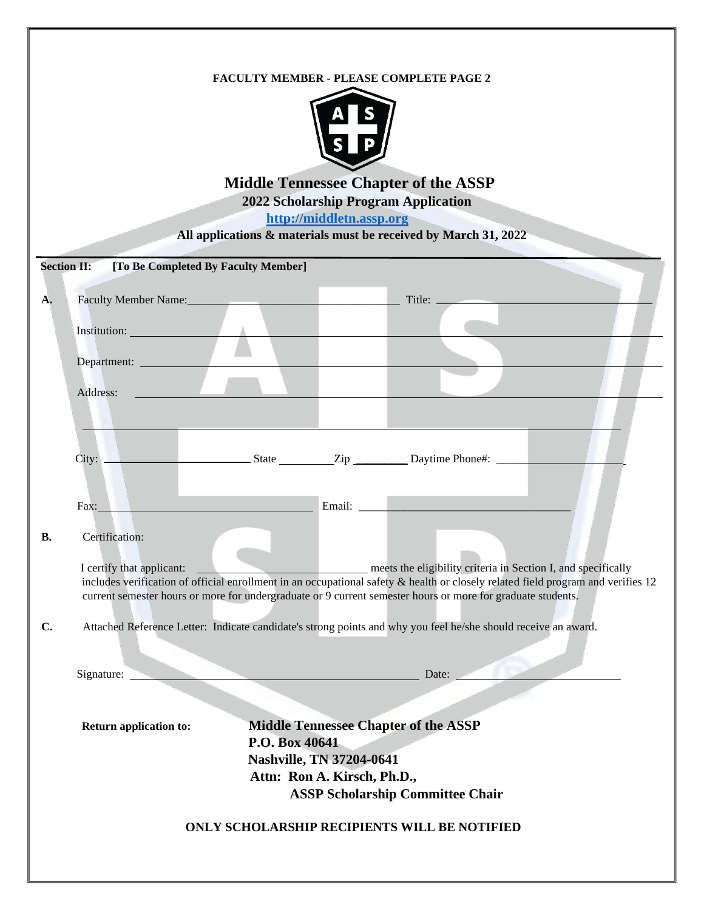|                                                                 | <b>FACULTY MEMBER - PLEASE COMPLETE PAGE 2</b>                                                                                                                                                                                                                               |  |  |  |  |
|-----------------------------------------------------------------|------------------------------------------------------------------------------------------------------------------------------------------------------------------------------------------------------------------------------------------------------------------------------|--|--|--|--|
|                                                                 | <b>Middle Tennessee Chapter of the ASSP</b><br>2022 Scholarship Program Application                                                                                                                                                                                          |  |  |  |  |
|                                                                 | http://middletn.assp.org                                                                                                                                                                                                                                                     |  |  |  |  |
| All applications & materials must be received by March 31, 2022 |                                                                                                                                                                                                                                                                              |  |  |  |  |
| <b>Section II:</b>                                              | [To Be Completed By Faculty Member]                                                                                                                                                                                                                                          |  |  |  |  |
| A.                                                              | Title: __                                                                                                                                                                                                                                                                    |  |  |  |  |
|                                                                 | Institution:                                                                                                                                                                                                                                                                 |  |  |  |  |
|                                                                 | Department:                                                                                                                                                                                                                                                                  |  |  |  |  |
|                                                                 | Address:                                                                                                                                                                                                                                                                     |  |  |  |  |
|                                                                 |                                                                                                                                                                                                                                                                              |  |  |  |  |
|                                                                 |                                                                                                                                                                                                                                                                              |  |  |  |  |
|                                                                 | $City:$ —                                                                                                                                                                                                                                                                    |  |  |  |  |
|                                                                 |                                                                                                                                                                                                                                                                              |  |  |  |  |
|                                                                 | Email: Email: Email: Email: Email: Email: Email: Email: Email: Email: Email: Email: Email: Email: Email: Email: Email: Email: Email: Email: Email: Email: Email: Email: Email: Email: Email: Email: Email: Email: Email: Email<br>Fax:                                       |  |  |  |  |
| В.                                                              | Certification:                                                                                                                                                                                                                                                               |  |  |  |  |
|                                                                 | I certify that applicant:                                                                                                                                                                                                                                                    |  |  |  |  |
|                                                                 | I certify that applicant:<br>includes verification of official enrollment in an occupational safety & health or closely related field program and verifies 12<br>current semester hours or more for undergraduate or 9 current semester hours or more for graduate students. |  |  |  |  |
|                                                                 |                                                                                                                                                                                                                                                                              |  |  |  |  |
| C.                                                              | Attached Reference Letter: Indicate candidate's strong points and why you feel he/she should receive an award.                                                                                                                                                               |  |  |  |  |
|                                                                 | Date:<br>Signature:                                                                                                                                                                                                                                                          |  |  |  |  |
|                                                                 |                                                                                                                                                                                                                                                                              |  |  |  |  |
|                                                                 | <b>Middle Tennessee Chapter of the ASSP</b><br><b>Return application to:</b><br>P.O. Box 40641                                                                                                                                                                               |  |  |  |  |
|                                                                 | <b>Nashville, TN 37204-0641</b>                                                                                                                                                                                                                                              |  |  |  |  |
| Attn: Ron A. Kirsch, Ph.D.,                                     |                                                                                                                                                                                                                                                                              |  |  |  |  |
|                                                                 | <b>ASSP Scholarship Committee Chair</b>                                                                                                                                                                                                                                      |  |  |  |  |
|                                                                 | ONLY SCHOLARSHIP RECIPIENTS WILL BE NOTIFIED                                                                                                                                                                                                                                 |  |  |  |  |
|                                                                 |                                                                                                                                                                                                                                                                              |  |  |  |  |
|                                                                 |                                                                                                                                                                                                                                                                              |  |  |  |  |